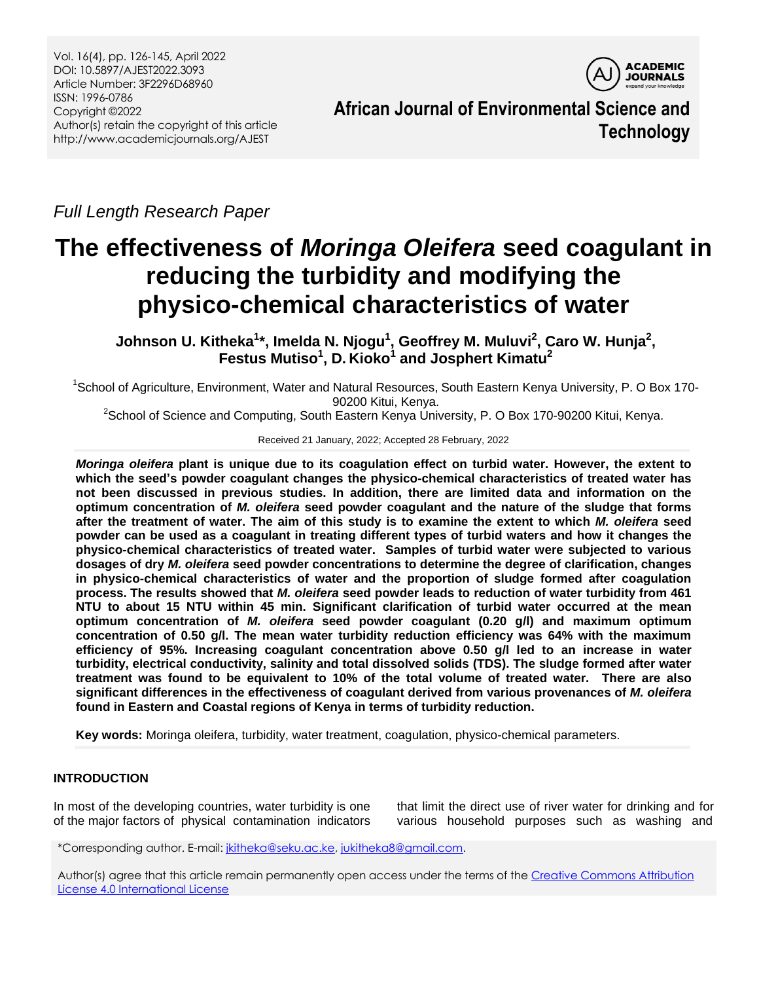Vol. 16(4), pp. 126-145, April 2022 DOI: 10.5897/AJEST2022.3093 Article Number: 3F2296D68960 ISSN: 1996-0786 Copyright ©2022 Author(s) retain the copyright of this article http://www.academicjournals.org/AJEST

**ACADEMIC JOURNALS** 

**African Journal of Environmental Science and Technology**

*Full Length Research Paper*

# **The effectiveness of** *Moringa Oleifera* **seed coagulant in reducing the turbidity and modifying the physico-chemical characteristics of water**

**Johnson U. Kitheka<sup>1</sup> \*, Imelda N. Njogu<sup>1</sup> , Geoffrey M. Muluvi<sup>2</sup> , Caro W. Hunja 2 , Festus Mutiso<sup>1</sup> , D. Kioko<sup>1</sup> and Josphert Kimatu<sup>2</sup>**

<sup>1</sup>School of Agriculture, Environment, Water and Natural Resources, South Eastern Kenya University, P. O Box 170-90200 Kitui, Kenya.

 $2$ School of Science and Computing, South Eastern Kenya University, P. O Box 170-90200 Kitui, Kenya.

Received 21 January, 2022; Accepted 28 February, 2022

*Moringa oleifera* **plant is unique due to its coagulation effect on turbid water. However, the extent to which the seed's powder coagulant changes the physico-chemical characteristics of treated water has not been discussed in previous studies. In addition, there are limited data and information on the optimum concentration of** *M. oleifera* **seed powder coagulant and the nature of the sludge that forms after the treatment of water. The aim of this study is to examine the extent to which** *M. oleifera* **seed powder can be used as a coagulant in treating different types of turbid waters and how it changes the physico-chemical characteristics of treated water. Samples of turbid water were subjected to various dosages of dry** *M. oleifera* **seed powder concentrations to determine the degree of clarification, changes in physico-chemical characteristics of water and the proportion of sludge formed after coagulation process. The results showed that** *M. oleifera* **seed powder leads to reduction of water turbidity from 461 NTU to about 15 NTU within 45 min. Significant clarification of turbid water occurred at the mean optimum concentration of** *M. oleifera* **seed powder coagulant (0.20 g/l) and maximum optimum concentration of 0.50 g/l. The mean water turbidity reduction efficiency was 64% with the maximum efficiency of 95%. Increasing coagulant concentration above 0.50 g/l led to an increase in water turbidity, electrical conductivity, salinity and total dissolved solids (TDS). The sludge formed after water treatment was found to be equivalent to 10% of the total volume of treated water. There are also significant differences in the effectiveness of coagulant derived from various provenances of** *M. oleifera*  **found in Eastern and Coastal regions of Kenya in terms of turbidity reduction.**

**Key words:** Moringa oleifera, turbidity, water treatment, coagulation, physico-chemical parameters.

# **INTRODUCTION**

In most of the developing countries, water turbidity is one of the major factors of physical contamination indicators

that limit the direct use of river water for drinking and for various household purposes such as washing and

\*Corresponding author. E-mail[: jkitheka@seku.ac.ke,](mailto:jkitheka@seku.ac.ke) [jukitheka8@gmail.com.](mailto:jukitheka8@gmail.com)

Author(s) agree that this article remain permanently open access under the terms of the Creative Commons Attribution [License 4.0 International License](http://creativecommons.org/licenses/by/4.0/deed.en_US)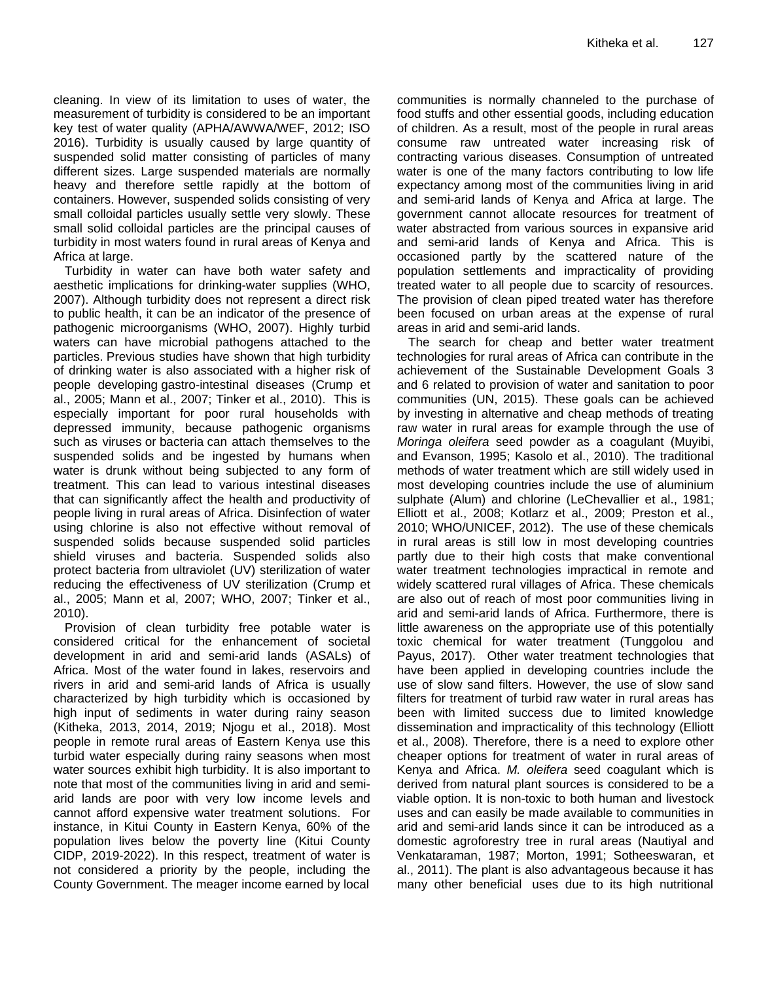cleaning. In view of its limitation to uses of water, the measurement of turbidity is considered to be an important key test of [water quality](https://en.wikipedia.org/wiki/Water_quality) (APHA/AWWA/WEF, 2012; ISO 2016). Turbidity is usually caused by large quantity of suspended solid matter consisting of particles of many different sizes. Large suspended materials are normally heavy and therefore settle rapidly at the bottom of containers. However, suspended solids consisting of very small colloidal particles usually settle very slowly. These small solid colloidal particles are the principal causes of turbidity in most waters found in rural areas of Kenya and Africa at large.

Turbidity in water can have both water safety and aesthetic implications for drinking-water supplies (WHO, 2007). Although turbidity does not represent a direct risk to public health, it can be an indicator of the presence of pathogenic microorganisms (WHO, 2007). Highly turbid waters can have microbial pathogens attached to the particles. Previous studies have shown that high turbidity of drinking water is also associated with a higher risk of people developing [gastro-intestinal diseases](https://en.wikipedia.org/wiki/Gastrointestinal_diseases) (Crump et al., 2005; Mann et al., 2007; Tinker et al., 2010). This is especially important for poor rural households with depressed immunity, because pathogenic organisms such as [viruses](https://en.wikipedia.org/wiki/Virus) or [bacteria](https://en.wikipedia.org/wiki/Bacteria) can attach themselves to the suspended solids and be ingested by humans when water is drunk without being subjected to any form of treatment. This can lead to various intestinal diseases that can significantly affect the health and productivity of people living in rural areas of Africa. Disinfection of water using chlorine is also not effective without removal of suspended solids because suspended solid particles shield viruses and bacteria. Suspended solids also protect bacteria from [ultraviolet \(UV\) sterilization](https://en.wikipedia.org/wiki/Ultraviolet_germicidal_irradiation) of water reducing the effectiveness of UV sterilization (Crump et al., 2005; Mann et al, 2007; WHO, 2007; Tinker et al., 2010).

Provision of clean turbidity free potable water is considered critical for the enhancement of societal development in arid and semi-arid lands (ASALs) of Africa. Most of the water found in lakes, reservoirs and rivers in arid and semi-arid lands of Africa is usually characterized by high turbidity which is occasioned by high input of sediments in water during rainy season (Kitheka, 2013, 2014, 2019; Njogu et al., 2018). Most people in remote rural areas of Eastern Kenya use this turbid water especially during rainy seasons when most water sources exhibit high turbidity. It is also important to note that most of the communities living in arid and semiarid lands are poor with very low income levels and cannot afford expensive water treatment solutions. For instance, in Kitui County in Eastern Kenya, 60% of the population lives below the poverty line (Kitui County CIDP, 2019-2022). In this respect, treatment of water is not considered a priority by the people, including the County Government. The meager income earned by local

communities is normally channeled to the purchase of food stuffs and other essential goods, including education of children. As a result, most of the people in rural areas consume raw untreated water increasing risk of contracting various diseases. Consumption of untreated water is one of the many factors contributing to low life expectancy among most of the communities living in arid and semi-arid lands of Kenya and Africa at large. The government cannot allocate resources for treatment of water abstracted from various sources in expansive arid and semi-arid lands of Kenya and Africa. This is occasioned partly by the scattered nature of the population settlements and impracticality of providing treated water to all people due to scarcity of resources. The provision of clean piped treated water has therefore been focused on urban areas at the expense of rural areas in arid and semi-arid lands.

The search for cheap and better water treatment technologies for rural areas of Africa can contribute in the achievement of the Sustainable Development Goals 3 and 6 related to provision of water and sanitation to poor communities (UN, 2015). These goals can be achieved by investing in alternative and cheap methods of treating raw water in rural areas for example through the use of *Moringa oleifera* seed powder as a coagulant (Muyibi, and Evanson, 1995; Kasolo et al., 2010). The traditional methods of water treatment which are still widely used in most developing countries include the use of aluminium sulphate (Alum) and chlorine (LeChevallier et al., 1981; Elliott et al., 2008; Kotlarz et al., 2009; Preston et al., 2010; WHO/UNICEF, 2012). The use of these chemicals in rural areas is still low in most developing countries partly due to their high costs that make conventional water treatment technologies impractical in remote and widely scattered rural villages of Africa. These chemicals are also out of reach of most poor communities living in arid and semi-arid lands of Africa. Furthermore, there is little awareness on the appropriate use of this potentially toxic chemical for water treatment (Tunggolou and Payus, 2017). Other water treatment technologies that have been applied in developing countries include the use of slow sand filters. However, the use of slow sand filters for treatment of turbid raw water in rural areas has been with limited success due to limited knowledge dissemination and impracticality of this technology (Elliott et al., 2008). Therefore, there is a need to explore other cheaper options for treatment of water in rural areas of Kenya and Africa. *M. oleifera* seed coagulant which is derived from natural plant sources is considered to be a viable option. It is non-toxic to both human and livestock uses and can easily be made available to communities in arid and semi-arid lands since it can be introduced as a domestic agroforestry tree in rural areas (Nautiyal and Venkataraman, 1987; Morton, 1991; Sotheeswaran, et al., 2011). The plant is also advantageous because it has many other beneficial uses due to its high nutritional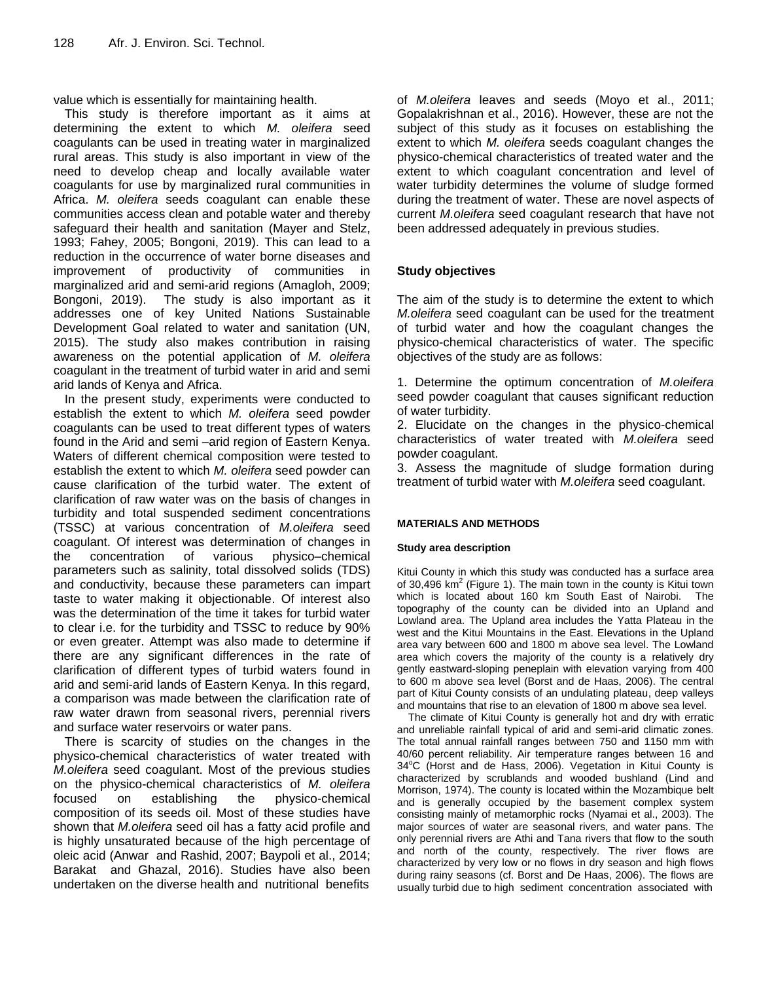value which is essentially for maintaining health.

This study is therefore important as it aims at determining the extent to which *M. oleifera* seed coagulants can be used in treating water in marginalized rural areas. This study is also important in view of the need to develop cheap and locally available water coagulants for use by marginalized rural communities in Africa. *M. oleifera* seeds coagulant can enable these communities access clean and potable water and thereby safeguard their health and sanitation (Mayer and Stelz, 1993; Fahey, 2005; [Bongoni,](https://www.researchgate.net/profile/Raja_Bongoni) 2019). This can lead to a reduction in the occurrence of water borne diseases and improvement of productivity of communities in marginalized arid and semi-arid regions [\(Amagloh,](https://www.researchgate.net/profile/Francis_Amagloh) 2009; [Bongoni,](https://www.researchgate.net/profile/Raja_Bongoni) 2019). The study is also important as it addresses one of key United Nations Sustainable Development Goal related to water and sanitation (UN, 2015). The study also makes contribution in raising awareness on the potential application of *M. oleifera* coagulant in the treatment of turbid water in arid and semi arid lands of Kenya and Africa.

In the present study, experiments were conducted to establish the extent to which *M. oleifera* seed powder coagulants can be used to treat different types of waters found in the Arid and semi –arid region of Eastern Kenya. Waters of different chemical composition were tested to establish the extent to which *M. oleifera* seed powder can cause clarification of the turbid water. The extent of clarification of raw water was on the basis of changes in turbidity and total suspended sediment concentrations (TSSC) at various concentration of *M.oleifera* seed coagulant. Of interest was determination of changes in the concentration of various physico–chemical parameters such as salinity, total dissolved solids (TDS) and conductivity, because these parameters can impart taste to water making it objectionable. Of interest also was the determination of the time it takes for turbid water to clear i.e. for the turbidity and TSSC to reduce by 90% or even greater. Attempt was also made to determine if there are any significant differences in the rate of clarification of different types of turbid waters found in arid and semi-arid lands of Eastern Kenya. In this regard, a comparison was made between the clarification rate of raw water drawn from seasonal rivers, perennial rivers and surface water reservoirs or water pans.

There is scarcity of studies on the changes in the physico-chemical characteristics of water treated with *M.oleifera* seed coagulant. Most of the previous studies on the physico-chemical characteristics of *M. oleifera*  focused on establishing the physico-chemical composition of its seeds oil. Most of these studies have shown that *M.oleifera* seed oil has a fatty acid profile and is highly unsaturated because of the high percentage of oleic acid (Anwar and Rashid, 2007; Baypoli et al., 2014; [Barakat](https://www.scirp.org/journal/articles.aspx?searchcode=Hassan++Barakat&searchfield=authors&page=1) and [Ghazal,](https://www.scirp.org/journal/articles.aspx?searchcode=Galal+A.++Ghazal&searchfield=authors&page=1) 2016). Studies have also been undertaken on the diverse health and nutritional benefits

of *M.oleifera* leaves and seeds (Moyo et al., 2011; [Gopalakrishnan et al., 2](https://www.sciencedirect.com/science/article/pii/S2213453016300362#!)016). However, these are not the subject of this study as it focuses on establishing the extent to which *M. oleifera* seeds coagulant changes the physico-chemical characteristics of treated water and the extent to which coagulant concentration and level of water turbidity determines the volume of sludge formed during the treatment of water. These are novel aspects of current *M.oleifera* seed coagulant research that have not been addressed adequately in previous studies.

## **Study objectives**

The aim of the study is to determine the extent to which *M.oleifera* seed coagulant can be used for the treatment of turbid water and how the coagulant changes the physico-chemical characteristics of water. The specific objectives of the study are as follows:

1. Determine the optimum concentration of *M.oleifera* seed powder coagulant that causes significant reduction of water turbidity.

2. Elucidate on the changes in the physico-chemical characteristics of water treated with *M.oleifera* seed powder coagulant.

3. Assess the magnitude of sludge formation during treatment of turbid water with *M.oleifera* seed coagulant.

#### **MATERIALS AND METHODS**

#### **Study area description**

Kitui County in which this study was conducted has a surface area of 30,496  $km^2$  (Figure 1). The main town in the county is Kitui town which is located about 160 km South East of Nairobi. The topography of the county can be divided into an Upland and Lowland area. The Upland area includes the Yatta Plateau in the west and the Kitui Mountains in the East. Elevations in the Upland area vary between 600 and 1800 m above sea level. The Lowland area which covers the majority of the county is a relatively dry gently eastward-sloping peneplain with elevation varying from 400 to 600 m above sea level (Borst and de Haas, 2006). The central part of Kitui County consists of an undulating plateau, deep valleys and mountains that rise to an elevation of 1800 m above sea level.

The climate of Kitui County is generally hot and dry with erratic and unreliable rainfall typical of arid and semi-arid climatic zones. The total annual rainfall ranges between 750 and 1150 mm with 40/60 percent reliability. Air temperature ranges between 16 and  $34^{\circ}$ C (Horst and de Hass, 2006). Vegetation in Kitui County is characterized by scrublands and wooded bushland (Lind and Morrison, 1974). The county is located within the Mozambique belt and is generally occupied by the basement complex system consisting mainly of metamorphic rocks (Nyamai et al., 2003). The major sources of water are seasonal rivers, and water pans. The only perennial rivers are Athi and Tana rivers that flow to the south and north of the county, respectively. The river flows are characterized by very low or no flows in dry season and high flows during rainy seasons (cf. Borst and De Haas, 2006). The flows are usually turbid due to high sediment concentration associated with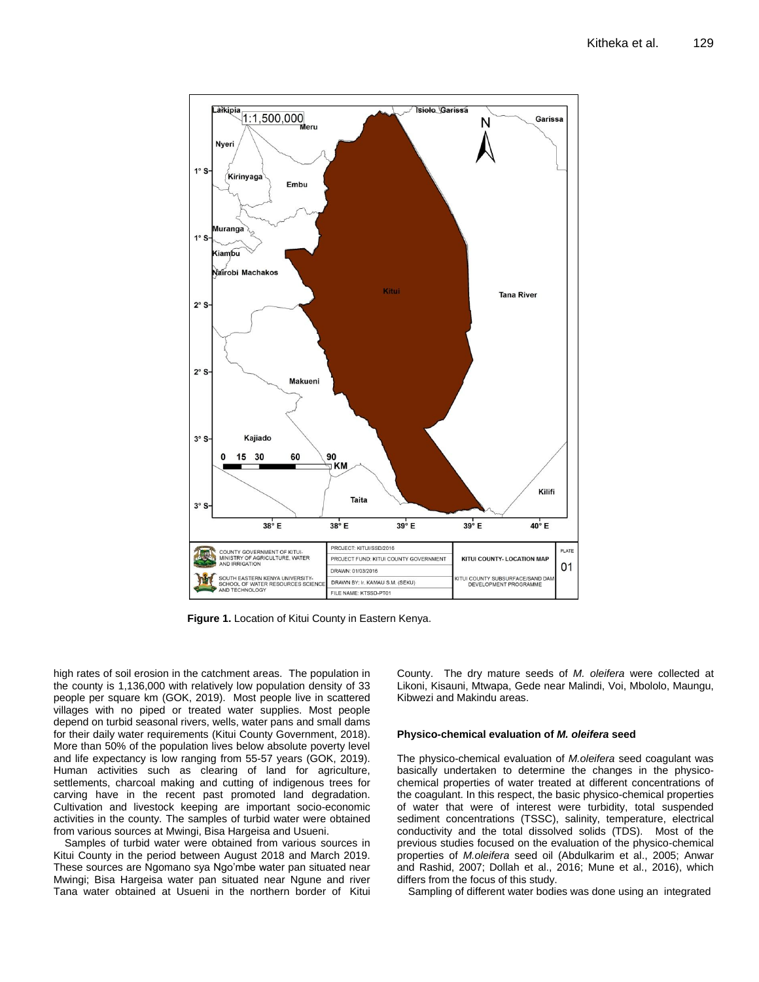

**Figure 1.** Location of Kitui County in Eastern Kenya.

high rates of soil erosion in the catchment areas. The population in the county is 1,136,000 with relatively low population density of 33 people per square km (GOK, 2019). Most people live in scattered villages with no piped or treated water supplies. Most people depend on turbid seasonal rivers, wells, water pans and small dams for their daily water requirements (Kitui County Government, 2018). More than 50% of the population lives below absolute poverty level and life expectancy is low ranging from 55-57 years (GOK, 2019). Human activities such as clearing of land for agriculture, settlements, charcoal making and cutting of indigenous trees for carving have in the recent past promoted land degradation. Cultivation and livestock keeping are important socio-economic activities in the county. The samples of turbid water were obtained from various sources at Mwingi, Bisa Hargeisa and Usueni.

Samples of turbid water were obtained from various sources in Kitui County in the period between August 2018 and March 2019. These sources are Ngomano sya Ngo'mbe water pan situated near Mwingi; Bisa Hargeisa water pan situated near Ngune and river Tana water obtained at Usueni in the northern border of Kitui

County. The dry mature seeds of *M. oleifera* were collected at Likoni, Kisauni, Mtwapa, Gede near Malindi, Voi, Mbololo, Maungu, Kibwezi and Makindu areas.

#### **Physico-chemical evaluation of** *M. oleifera* **seed**

The physico-chemical evaluation of *M.oleifera* seed coagulant was basically undertaken to determine the changes in the physicochemical properties of water treated at different concentrations of the coagulant. In this respect, the basic physico-chemical properties of water that were of interest were turbidity, total suspended sediment concentrations (TSSC), salinity, temperature, electrical conductivity and the total dissolved solids (TDS). Most of the previous studies focused on the evaluation of the physico-chemical properties of *M.oleifera* seed oil [\(Abdulkarim](https://www.sciencedirect.com/science/article/abs/pii/S0308814604007423#!) et al., 2005; Anwar and Rashid, 2007; Dollah et al., 2016; Mune et al., 2016), which differs from the focus of this study.

Sampling of different water bodies was done using an integrated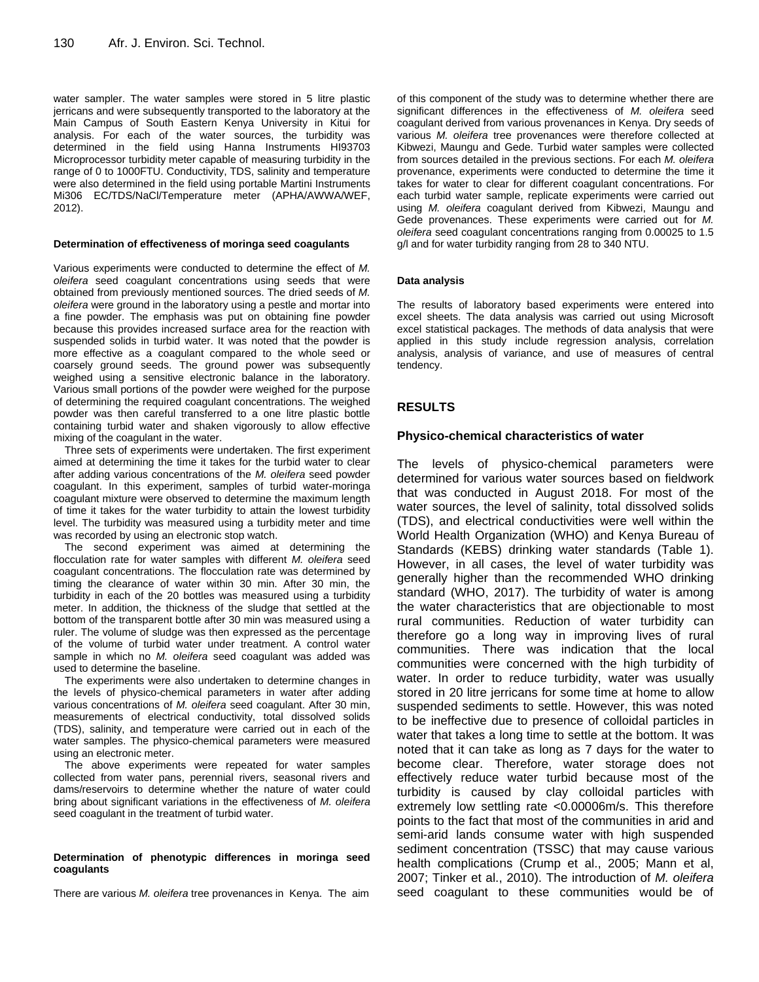water sampler. The water samples were stored in 5 litre plastic jerricans and were subsequently transported to the laboratory at the Main Campus of South Eastern Kenya University in Kitui for analysis. For each of the water sources, the turbidity was determined in the field using Hanna Instruments HI93703 Microprocessor turbidity meter capable of measuring turbidity in the range of 0 to 1000FTU. Conductivity, TDS, salinity and temperature were also determined in the field using portable Martini Instruments Mi306 EC/TDS/NaCl/Temperature meter (APHA/AWWA/WEF, 2012).

#### **Determination of effectiveness of moringa seed coagulants**

Various experiments were conducted to determine the effect of *M. oleifera* seed coagulant concentrations using seeds that were obtained from previously mentioned sources. The dried seeds of *M. oleifera* were ground in the laboratory using a pestle and mortar into a fine powder. The emphasis was put on obtaining fine powder because this provides increased surface area for the reaction with suspended solids in turbid water. It was noted that the powder is more effective as a coagulant compared to the whole seed or coarsely ground seeds. The ground power was subsequently weighed using a sensitive electronic balance in the laboratory. Various small portions of the powder were weighed for the purpose of determining the required coagulant concentrations. The weighed powder was then careful transferred to a one litre plastic bottle containing turbid water and shaken vigorously to allow effective mixing of the coagulant in the water.

Three sets of experiments were undertaken. The first experiment aimed at determining the time it takes for the turbid water to clear after adding various concentrations of the *M. oleifera* seed powder coagulant. In this experiment, samples of turbid water-moringa coagulant mixture were observed to determine the maximum length of time it takes for the water turbidity to attain the lowest turbidity level. The turbidity was measured using a turbidity meter and time was recorded by using an electronic stop watch.

The second experiment was aimed at determining the flocculation rate for water samples with different *M. oleifera* seed coagulant concentrations. The flocculation rate was determined by timing the clearance of water within 30 min. After 30 min, the turbidity in each of the 20 bottles was measured using a turbidity meter. In addition, the thickness of the sludge that settled at the bottom of the transparent bottle after 30 min was measured using a ruler. The volume of sludge was then expressed as the percentage of the volume of turbid water under treatment. A control water sample in which no *M. oleifera* seed coagulant was added was used to determine the baseline.

The experiments were also undertaken to determine changes in the levels of physico-chemical parameters in water after adding various concentrations of *M. oleifera* seed coagulant. After 30 min, measurements of electrical conductivity, total dissolved solids (TDS), salinity, and temperature were carried out in each of the water samples. The physico-chemical parameters were measured using an electronic meter.

The above experiments were repeated for water samples collected from water pans, perennial rivers, seasonal rivers and dams/reservoirs to determine whether the nature of water could bring about significant variations in the effectiveness of *M. oleifera* seed coagulant in the treatment of turbid water.

#### **Determination of phenotypic differences in moringa seed coagulants**

There are various *M. oleifera* tree provenances in Kenya. The aim

of this component of the study was to determine whether there are significant differences in the effectiveness of *M. oleifera* seed coagulant derived from various provenances in Kenya. Dry seeds of various *M. oleifera* tree provenances were therefore collected at Kibwezi, Maungu and Gede. Turbid water samples were collected from sources detailed in the previous sections. For each *M. oleifera* provenance, experiments were conducted to determine the time it takes for water to clear for different coagulant concentrations. For each turbid water sample, replicate experiments were carried out using *M. oleifera* coagulant derived from Kibwezi, Maungu and Gede provenances. These experiments were carried out for *M. oleifera* seed coagulant concentrations ranging from 0.00025 to 1.5 g/l and for water turbidity ranging from 28 to 340 NTU.

#### **Data analysis**

The results of laboratory based experiments were entered into excel sheets. The data analysis was carried out using Microsoft excel statistical packages. The methods of data analysis that were applied in this study include regression analysis, correlation analysis, analysis of variance, and use of measures of central tendency.

#### **RESULTS**

#### **Physico-chemical characteristics of water**

The levels of physico-chemical parameters were determined for various water sources based on fieldwork that was conducted in August 2018. For most of the water sources, the level of salinity, total dissolved solids (TDS), and electrical conductivities were well within the World Health Organization (WHO) and Kenya Bureau of Standards (KEBS) drinking water standards (Table 1). However, in all cases, the level of water turbidity was generally higher than the recommended WHO drinking standard (WHO, 2017). The turbidity of water is among the water characteristics that are objectionable to most rural communities. Reduction of water turbidity can therefore go a long way in improving lives of rural communities. There was indication that the local communities were concerned with the high turbidity of water. In order to reduce turbidity, water was usually stored in 20 litre jerricans for some time at home to allow suspended sediments to settle. However, this was noted to be ineffective due to presence of colloidal particles in water that takes a long time to settle at the bottom. It was noted that it can take as long as 7 days for the water to become clear. Therefore, water storage does not effectively reduce water turbid because most of the turbidity is caused by clay colloidal particles with extremely low settling rate <0.00006m/s. This therefore points to the fact that most of the communities in arid and semi-arid lands consume water with high suspended sediment concentration (TSSC) that may cause various health complications (Crump et al., 2005; Mann et al, 2007; Tinker et al., 2010). The introduction of *M. oleifera* seed coagulant to these communities would be of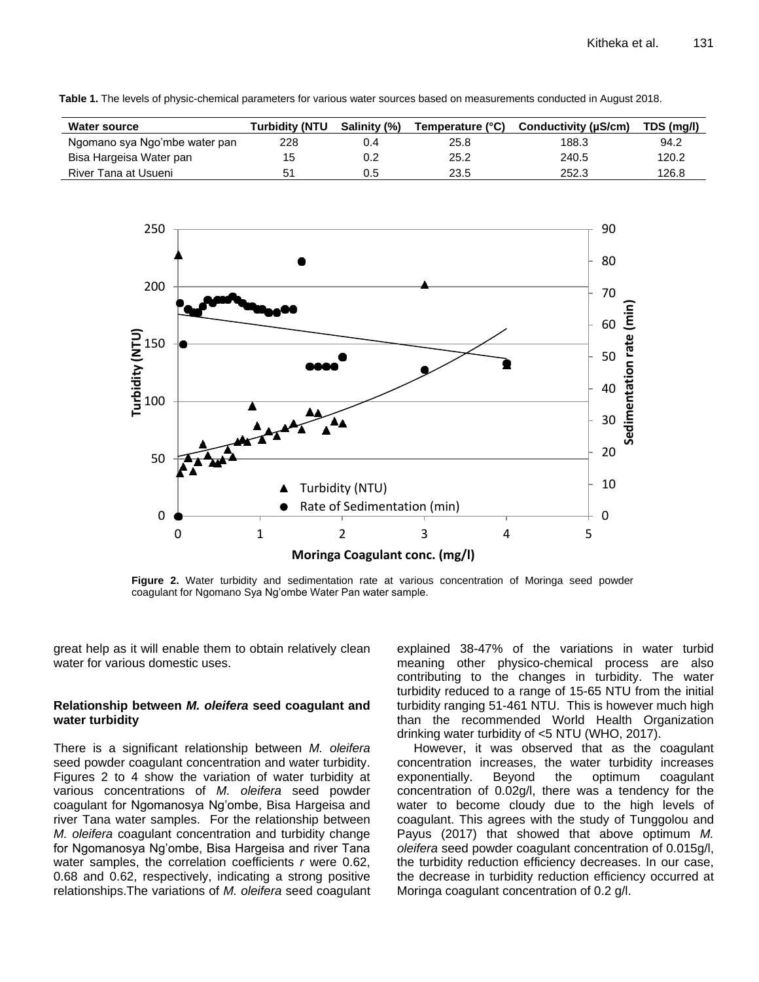**Table 1.** The levels of physic-chemical parameters for various water sources based on measurements conducted in August 2018.

| <b>Water source</b>           | Turbiditv (NTU | <b>Salinity (%)</b> | Temperature (°C) | Conductivity (µS/cm) | TDS (mg/l) |
|-------------------------------|----------------|---------------------|------------------|----------------------|------------|
| Ngomano sya Ngo'mbe water pan | 228            | 0.4                 | 25.8             | 188.3                | 94.2       |
| Bisa Hargeisa Water pan       | 15             |                     | 25.2             | 240.5                | 120.2      |
| River Tana at Usueni          | 51             | 0.5                 | 23.5             | 252.3                | 126.8      |



**Figure 2.** Water turbidity and sedimentation rate at various concentration of Moringa seed powder coagulant for Ngomano Sya Ng'ombe Water Pan water sample.

great help as it will enable them to obtain relatively clean water for various domestic uses.

#### **Relationship between** *M. oleifera* **seed coagulant and water turbidity**

There is a significant relationship between *M. oleifera* seed powder coagulant concentration and water turbidity. Figures 2 to 4 show the variation of water turbidity at various concentrations of *M. oleifera* seed powder coagulant for Ngomanosya Ng'ombe, Bisa Hargeisa and river Tana water samples. For the relationship between *M. oleifera* coagulant concentration and turbidity change for Ngomanosya Ng'ombe, Bisa Hargeisa and river Tana water samples, the correlation coefficients *r* were 0.62, 0.68 and 0.62, respectively, indicating a strong positive relationships.The variations of *M. oleifera* seed coagulant explained 38-47% of the variations in water turbid meaning other physico-chemical process are also contributing to the changes in turbidity. The water turbidity reduced to a range of 15-65 NTU from the initial turbidity ranging 51-461 NTU. This is however much high than the recommended [World Health Organization](https://en.wikipedia.org/wiki/World_Health_Organization) drinking water turbidity of <5 NTU (WHO, 2017).

However, it was observed that as the coagulant concentration increases, the water turbidity increases exponentially. Beyond the optimum coagulant concentration of 0.02g/l, there was a tendency for the water to become cloudy due to the high levels of coagulant. This agrees with the study of Tunggolou and Payus (2017) that showed that above optimum *M. oleifera* seed powder coagulant concentration of 0.015g/l, the turbidity reduction efficiency decreases. In our case, the decrease in turbidity reduction efficiency occurred at Moringa coagulant concentration of 0.2 g/l.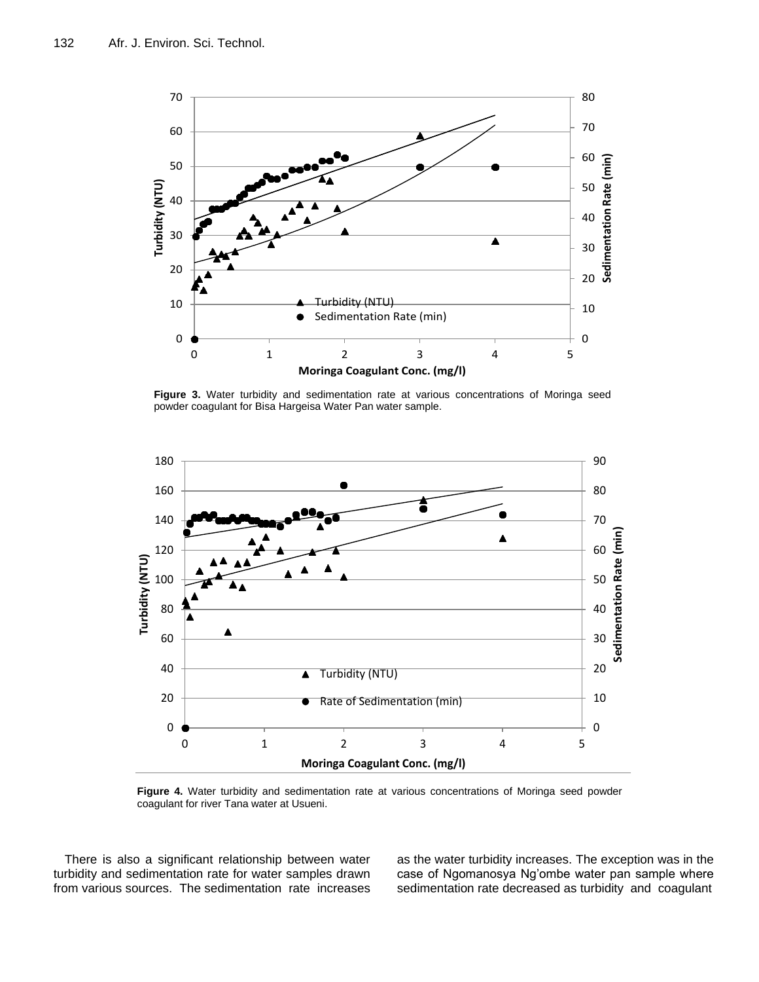

**Figure 3.** Water turbidity and sedimentation rate at various concentrations of Moringa seed powder coagulant for Bisa Hargeisa Water Pan water sample.



**Figure 4.** Water turbidity and sedimentation rate at various concentrations of Moringa seed powder coagulant for river Tana water at Usueni.

There is also a significant relationship between water turbidity and sedimentation rate for water samples drawn from various sources. The sedimentation rate increases as the water turbidity increases. The exception was in the case of Ngomanosya Ng'ombe water pan sample where sedimentation rate decreased as turbidity and coagulant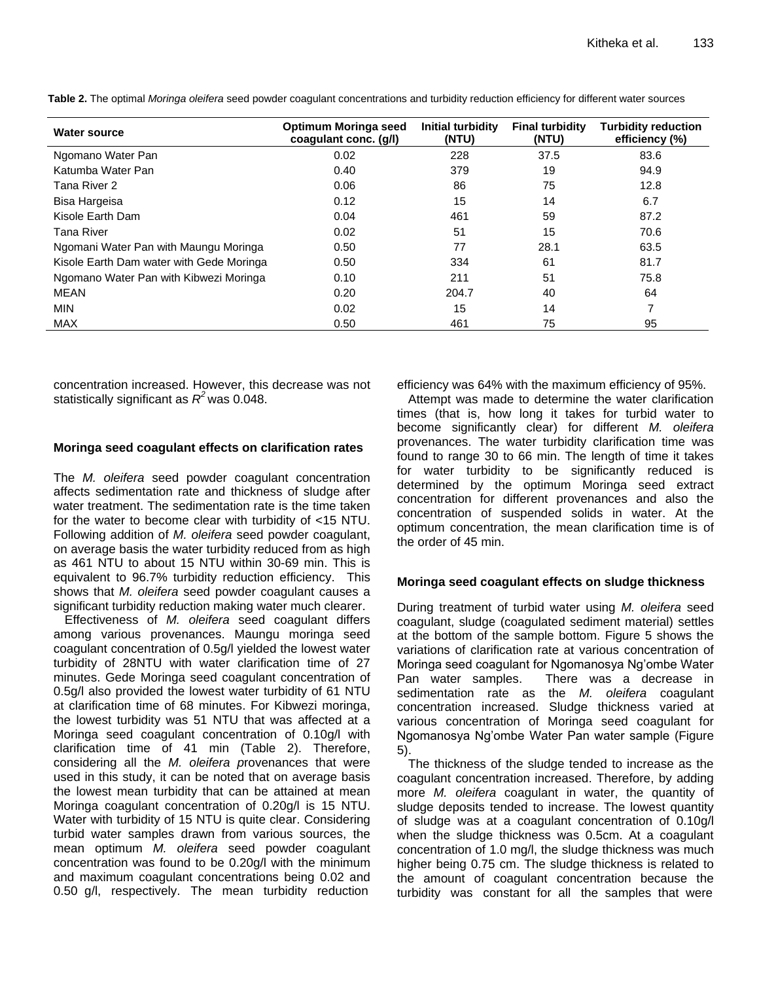| <b>Water source</b>                      | Optimum Moringa seed<br>coagulant conc. (g/l) | Initial turbidity<br>(NTU) | <b>Final turbidity</b><br>(NTU) | <b>Turbidity reduction</b><br>efficiency (%) |
|------------------------------------------|-----------------------------------------------|----------------------------|---------------------------------|----------------------------------------------|
| Ngomano Water Pan                        | 0.02                                          | 228                        | 37.5                            | 83.6                                         |
| Katumba Water Pan                        | 0.40                                          | 379                        | 19                              | 94.9                                         |
| Tana River 2                             | 0.06                                          | 86                         | 75                              | 12.8                                         |
| Bisa Hargeisa                            | 0.12                                          | 15                         | 14                              | 6.7                                          |
| Kisole Earth Dam                         | 0.04                                          | 461                        | 59                              | 87.2                                         |
| Tana River                               | 0.02                                          | 51                         | 15                              | 70.6                                         |
| Ngomani Water Pan with Maungu Moringa    | 0.50                                          | 77                         | 28.1                            | 63.5                                         |
| Kisole Earth Dam water with Gede Moringa | 0.50                                          | 334                        | 61                              | 81.7                                         |
| Ngomano Water Pan with Kibwezi Moringa   | 0.10                                          | 211                        | 51                              | 75.8                                         |
| MEAN                                     | 0.20                                          | 204.7                      | 40                              | 64                                           |
| <b>MIN</b>                               | 0.02                                          | 15                         | 14                              | 7                                            |
| <b>MAX</b>                               | 0.50                                          | 461                        | 75                              | 95                                           |

**Table 2.** The optimal *Moringa oleifera* seed powder coagulant concentrations and turbidity reduction efficiency for different water sources

concentration increased. However, this decrease was not statistically significant as *R <sup>2</sup>* was 0.048.

#### **Moringa seed coagulant effects on clarification rates**

The *M. oleifera* seed powder coagulant concentration affects sedimentation rate and thickness of sludge after water treatment. The sedimentation rate is the time taken for the water to become clear with turbidity of <15 NTU. Following addition of *M. oleifera* seed powder coagulant, on average basis the water turbidity reduced from as high as 461 NTU to about 15 NTU within 30-69 min. This is equivalent to 96.7% turbidity reduction efficiency. This shows that *M. oleifera* seed powder coagulant causes a significant turbidity reduction making water much clearer.

Effectiveness of *M. oleifera* seed coagulant differs among various provenances. Maungu moringa seed coagulant concentration of 0.5g/l yielded the lowest water turbidity of 28NTU with water clarification time of 27 minutes. Gede Moringa seed coagulant concentration of 0.5g/l also provided the lowest water turbidity of 61 NTU at clarification time of 68 minutes. For Kibwezi moringa, the lowest turbidity was 51 NTU that was affected at a Moringa seed coagulant concentration of 0.10g/l with clarification time of 41 min (Table 2). Therefore, considering all the *M. oleifera p*rovenances that were used in this study, it can be noted that on average basis the lowest mean turbidity that can be attained at mean Moringa coagulant concentration of 0.20g/l is 15 NTU. Water with turbidity of 15 NTU is quite clear. Considering turbid water samples drawn from various sources, the mean optimum *M. oleifera* seed powder coagulant concentration was found to be 0.20g/l with the minimum and maximum coagulant concentrations being 0.02 and 0.50 g/l, respectively. The mean turbidity reduction

efficiency was 64% with the maximum efficiency of 95%.

Attempt was made to determine the water clarification times (that is, how long it takes for turbid water to become significantly clear) for different *M. oleifera* provenances. The water turbidity clarification time was found to range 30 to 66 min. The length of time it takes for water turbidity to be significantly reduced is determined by the optimum Moringa seed extract concentration for different provenances and also the concentration of suspended solids in water. At the optimum concentration, the mean clarification time is of the order of 45 min.

## **Moringa seed coagulant effects on sludge thickness**

During treatment of turbid water using *M. oleifera* seed coagulant, sludge (coagulated sediment material) settles at the bottom of the sample bottom. Figure 5 shows the variations of clarification rate at various concentration of Moringa seed coagulant for Ngomanosya Ng'ombe Water Pan water samples. There was a decrease in sedimentation rate as the *M. oleifera* coagulant concentration increased. Sludge thickness varied at various concentration of Moringa seed coagulant for Ngomanosya Ng'ombe Water Pan water sample (Figure 5).

The thickness of the sludge tended to increase as the coagulant concentration increased. Therefore, by adding more *M. oleifera* coagulant in water, the quantity of sludge deposits tended to increase. The lowest quantity of sludge was at a coagulant concentration of 0.10g/l when the sludge thickness was 0.5cm. At a coagulant concentration of 1.0 mg/l, the sludge thickness was much higher being 0.75 cm. The sludge thickness is related to the amount of coagulant concentration because the turbidity was constant for all the samples that were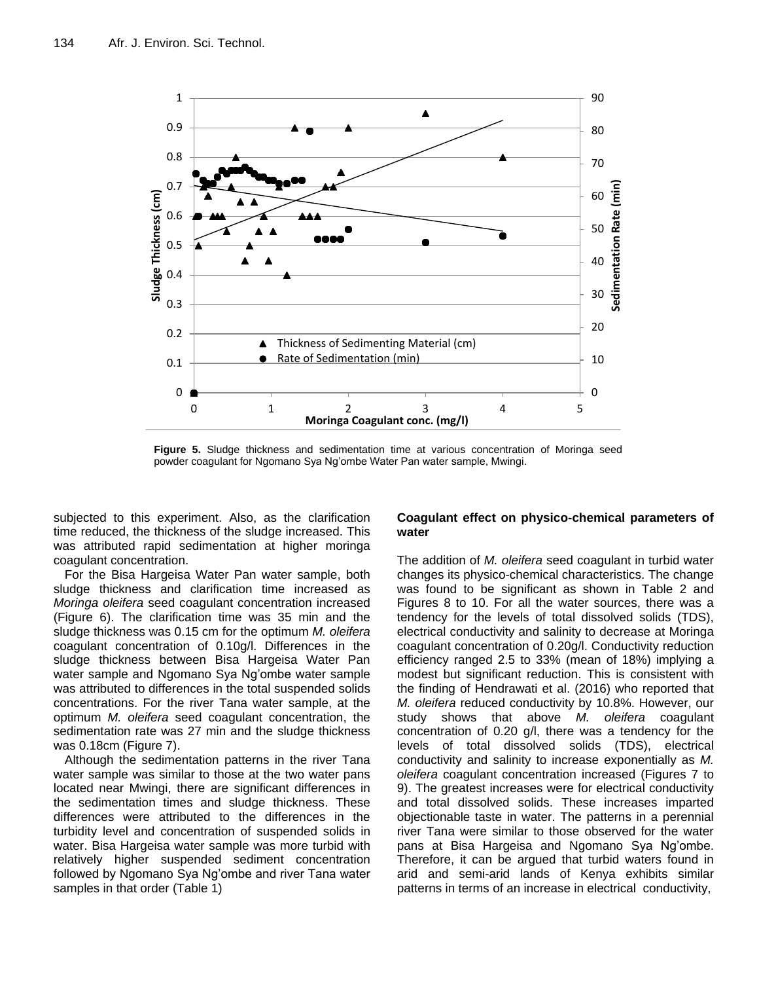

**Figure 5.** Sludge thickness and sedimentation time at various concentration of Moringa seed powder coagulant for Ngomano Sya Ng'ombe Water Pan water sample, Mwingi.

subjected to this experiment. Also, as the clarification time reduced, the thickness of the sludge increased. This was attributed rapid sedimentation at higher moringa coagulant concentration.

For the Bisa Hargeisa Water Pan water sample, both sludge thickness and clarification time increased as *Moringa oleifera* seed coagulant concentration increased (Figure 6). The clarification time was 35 min and the sludge thickness was 0.15 cm for the optimum *M. oleifera* coagulant concentration of 0.10g/l. Differences in the sludge thickness between Bisa Hargeisa Water Pan water sample and Ngomano Sya Ng'ombe water sample was attributed to differences in the total suspended solids concentrations. For the river Tana water sample, at the optimum *M. oleifera* seed coagulant concentration, the sedimentation rate was 27 min and the sludge thickness was 0.18cm (Figure 7).

Although the sedimentation patterns in the river Tana water sample was similar to those at the two water pans located near Mwingi, there are significant differences in the sedimentation times and sludge thickness. These differences were attributed to the differences in the turbidity level and concentration of suspended solids in water. Bisa Hargeisa water sample was more turbid with relatively higher suspended sediment concentration followed by Ngomano Sya Ng'ombe and river Tana water samples in that order (Table 1)

## **Coagulant effect on physico-chemical parameters of water**

The addition of *M. oleifera* seed coagulant in turbid water changes its physico-chemical characteristics. The change was found to be significant as shown in Table 2 and Figures 8 to 10. For all the water sources, there was a tendency for the levels of total dissolved solids (TDS), electrical conductivity and salinity to decrease at Moringa coagulant concentration of 0.20g/l. Conductivity reduction efficiency ranged 2.5 to 33% (mean of 18%) implying a modest but significant reduction. This is consistent with the finding of [Hendrawati](https://www.researchgate.net/profile/Hendrawati_Hendrawati) et al. (2016) who reported that *M. oleifera* reduced conductivity by 10.8%. However, our study shows that above *M. oleifera* coagulant concentration of 0.20 g/l, there was a tendency for the levels of total dissolved solids (TDS), electrical conductivity and salinity to increase exponentially as *M. oleifera* coagulant concentration increased (Figures 7 to 9). The greatest increases were for electrical conductivity and total dissolved solids. These increases imparted objectionable taste in water. The patterns in a perennial river Tana were similar to those observed for the water pans at Bisa Hargeisa and Ngomano Sya Ng'ombe. Therefore, it can be argued that turbid waters found in arid and semi-arid lands of Kenya exhibits similar patterns in terms of an increase in electrical conductivity,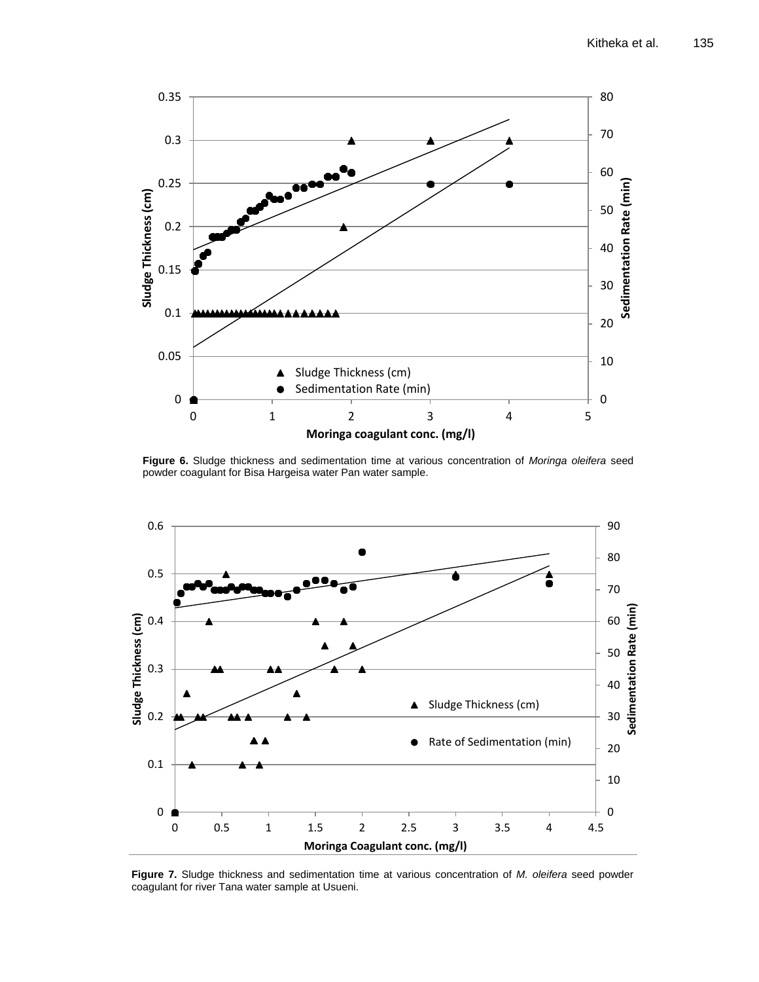

**Figure 6.** Sludge thickness and sedimentation time at various concentration of *Moringa oleifera* seed powder coagulant for Bisa Hargeisa water Pan water sample.



**Figure 7.** Sludge thickness and sedimentation time at various concentration of *M. oleifera* seed powder coagulant for river Tana water sample at Usueni.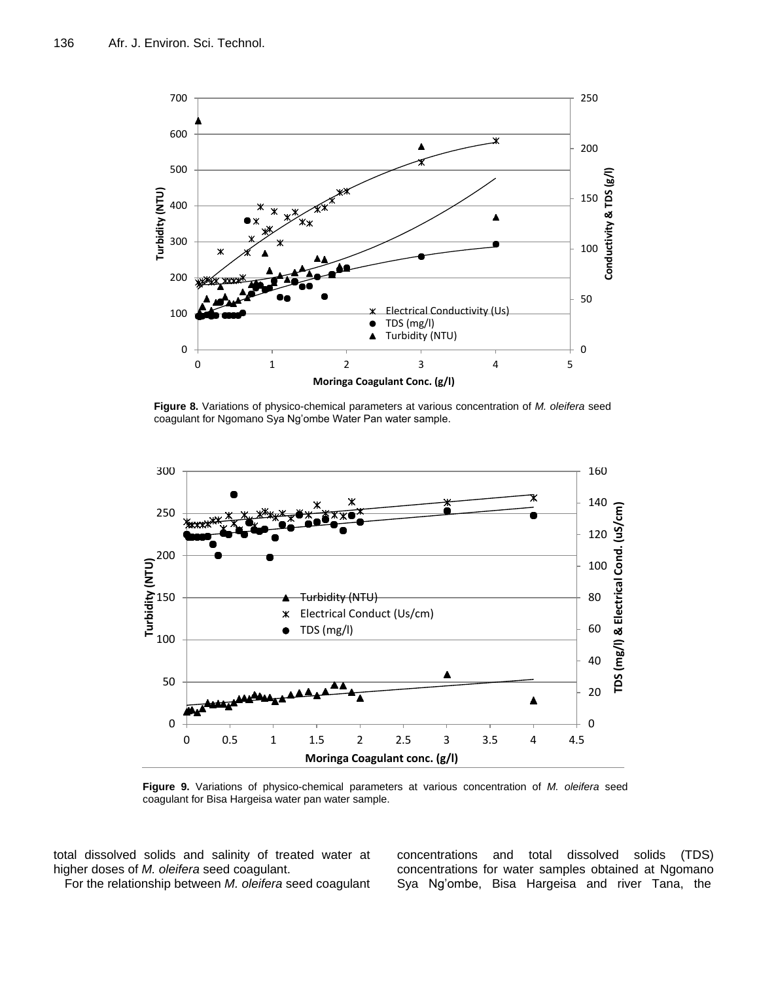

**Figure 8.** Variations of physico-chemical parameters at various concentration of *M. oleifera* seed coagulant for Ngomano Sya Ng'ombe Water Pan water sample.



**Figure 9.** Variations of physico-chemical parameters at various concentration of *M. oleifera* seed coagulant for Bisa Hargeisa water pan water sample.

total dissolved solids and salinity of treated water at higher doses of *M. oleifera* seed coagulant.

For the relationship between *M. oleifera* seed coagulant

concentrations and total dissolved solids (TDS) concentrations for water samples obtained at Ngomano Sya Ng'ombe, Bisa Hargeisa and river Tana, the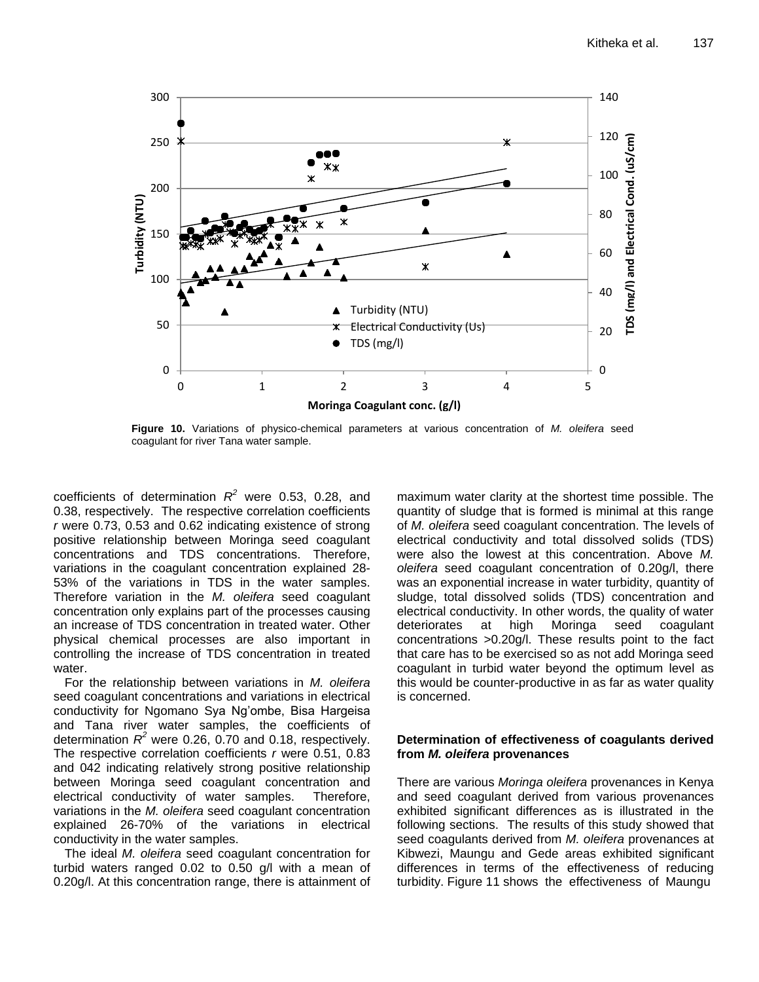

**Figure 10.** Variations of physico-chemical parameters at various concentration of *M. oleifera* seed coagulant for river Tana water sample.

coefficients of determination  $R^2$  were 0.53, 0.28, and 0.38, respectively. The respective correlation coefficients *r* were 0.73, 0.53 and 0.62 indicating existence of strong positive relationship between Moringa seed coagulant concentrations and TDS concentrations. Therefore, variations in the coagulant concentration explained 28- 53% of the variations in TDS in the water samples. Therefore variation in the *M. oleifera* seed coagulant concentration only explains part of the processes causing an increase of TDS concentration in treated water. Other physical chemical processes are also important in controlling the increase of TDS concentration in treated water.

For the relationship between variations in *M. oleifera* seed coagulant concentrations and variations in electrical conductivity for Ngomano Sya Ng'ombe, Bisa Hargeisa and Tana river water samples, the coefficients of determination  $R^2$  were 0.26, 0.70 and 0.18, respectively. The respective correlation coefficients *r* were 0.51, 0.83 and 042 indicating relatively strong positive relationship between Moringa seed coagulant concentration and electrical conductivity of water samples. Therefore, variations in the *M. oleifera* seed coagulant concentration explained 26-70% of the variations in electrical conductivity in the water samples.

The ideal *M. oleifera* seed coagulant concentration for turbid waters ranged 0.02 to 0.50 g/l with a mean of 0.20g/l. At this concentration range, there is attainment of maximum water clarity at the shortest time possible. The quantity of sludge that is formed is minimal at this range of *M. oleifera* seed coagulant concentration. The levels of electrical conductivity and total dissolved solids (TDS) were also the lowest at this concentration. Above *M. oleifera* seed coagulant concentration of 0.20g/l, there was an exponential increase in water turbidity, quantity of sludge, total dissolved solids (TDS) concentration and electrical conductivity. In other words, the quality of water deteriorates at high Moringa seed coagulant concentrations >0.20g/l. These results point to the fact that care has to be exercised so as not add Moringa seed coagulant in turbid water beyond the optimum level as this would be counter-productive in as far as water quality is concerned.

#### **Determination of effectiveness of coagulants derived from** *M. oleifera* **provenances**

There are various *Moringa oleifera* provenances in Kenya and seed coagulant derived from various provenances exhibited significant differences as is illustrated in the following sections. The results of this study showed that seed coagulants derived from *M. oleifera* provenances at Kibwezi, Maungu and Gede areas exhibited significant differences in terms of the effectiveness of reducing turbidity. Figure 11 shows the effectiveness of Maungu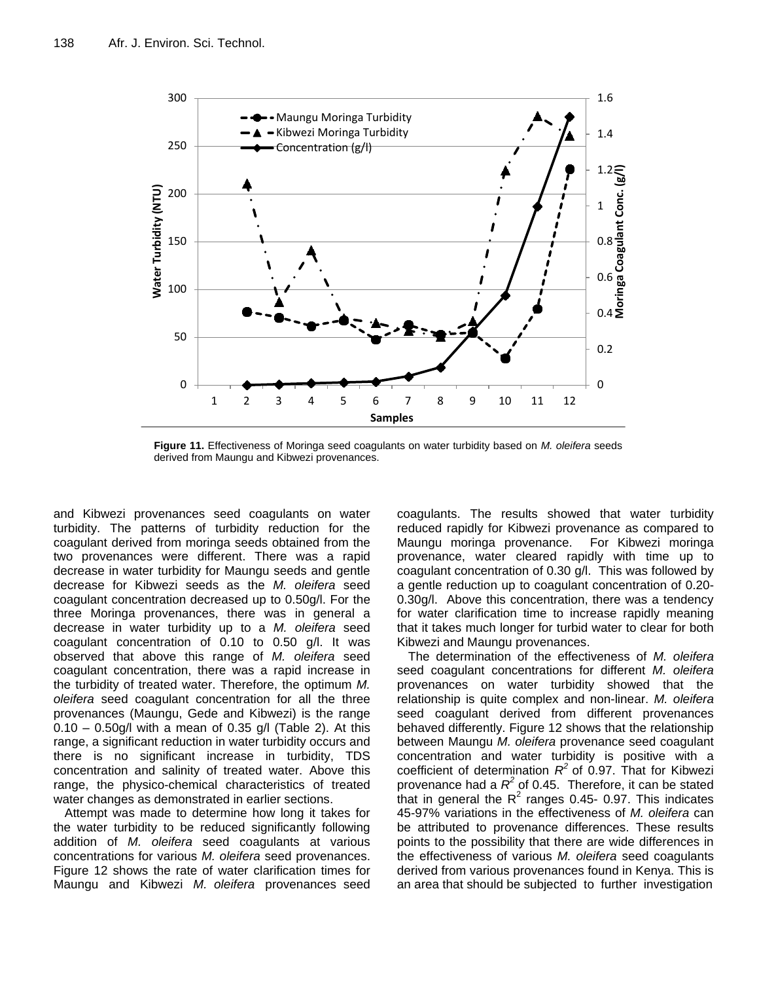

**Figure 11.** Effectiveness of Moringa seed coagulants on water turbidity based on *M. oleifera* seeds derived from Maungu and Kibwezi provenances.

and Kibwezi provenances seed coagulants on water turbidity. The patterns of turbidity reduction for the coagulant derived from moringa seeds obtained from the two provenances were different. There was a rapid decrease in water turbidity for Maungu seeds and gentle decrease for Kibwezi seeds as the *M. oleifera* seed coagulant concentration decreased up to 0.50g/l. For the three Moringa provenances, there was in general a decrease in water turbidity up to a *M. oleifera* seed coagulant concentration of 0.10 to 0.50 g/l. It was observed that above this range of *M. oleifera* seed coagulant concentration, there was a rapid increase in the turbidity of treated water. Therefore, the optimum *M. oleifera* seed coagulant concentration for all the three provenances (Maungu, Gede and Kibwezi) is the range  $0.10 - 0.50$ g/l with a mean of 0.35 g/l (Table 2). At this range, a significant reduction in water turbidity occurs and there is no significant increase in turbidity, TDS concentration and salinity of treated water. Above this range, the physico-chemical characteristics of treated water changes as demonstrated in earlier sections.

Attempt was made to determine how long it takes for the water turbidity to be reduced significantly following addition of *M. oleifera* seed coagulants at various concentrations for various *M. oleifera* seed provenances. Figure 12 shows the rate of water clarification times for Maungu and Kibwezi *M. oleifera* provenances seed

coagulants. The results showed that water turbidity reduced rapidly for Kibwezi provenance as compared to Maungu moringa provenance. For Kibwezi moringa provenance, water cleared rapidly with time up to coagulant concentration of 0.30 g/l. This was followed by a gentle reduction up to coagulant concentration of 0.20- 0.30g/l. Above this concentration, there was a tendency for water clarification time to increase rapidly meaning that it takes much longer for turbid water to clear for both Kibwezi and Maungu provenances.

The determination of the effectiveness of *M. oleifera* seed coagulant concentrations for different *M. oleifera* provenances on water turbidity showed that the relationship is quite complex and non-linear. *M. oleifera* seed coagulant derived from different provenances behaved differently. Figure 12 shows that the relationship between Maungu *M. oleifera* provenance seed coagulant concentration and water turbidity is positive with a coefficient of determination *R 2* of 0.97. That for Kibwezi provenance had a  $R^2$  of 0.45. Therefore, it can be stated that in general the  $R^2$  ranges 0.45- 0.97. This indicates 45-97% variations in the effectiveness of *M. oleifera* can be attributed to provenance differences. These results points to the possibility that there are wide differences in the effectiveness of various *M. oleifera* seed coagulants derived from various provenances found in Kenya. This is an area that should be subjected to further investigation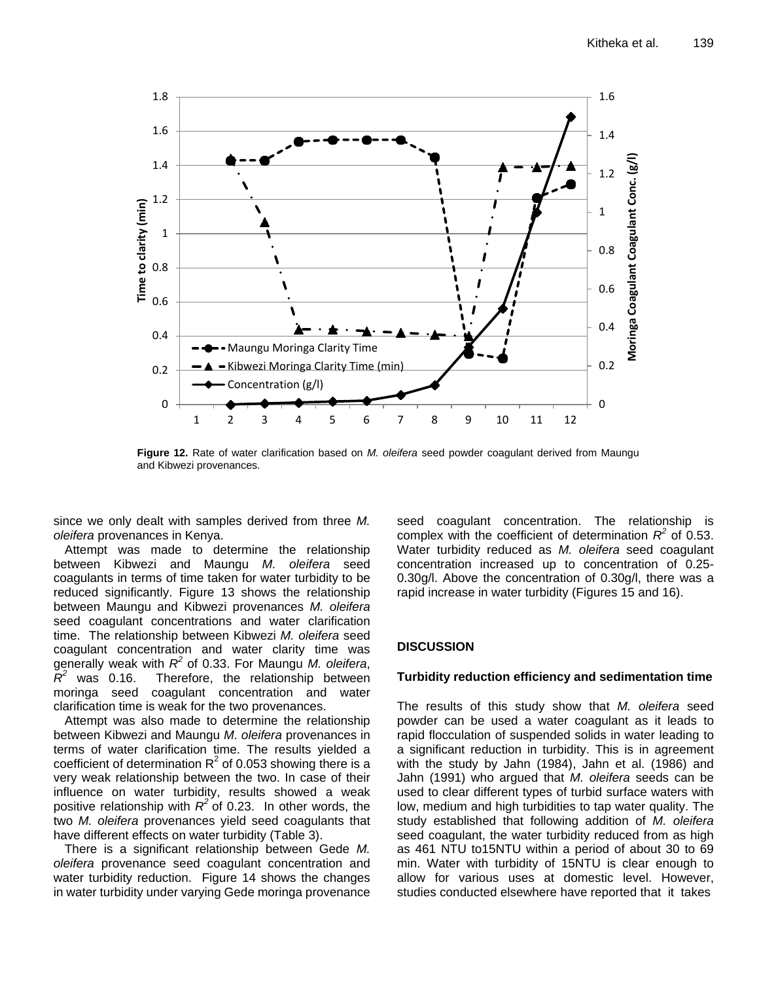

**Figure 12.** Rate of water clarification based on *M. oleifera* seed powder coagulant derived from Maungu and Kibwezi provenances.

since we only dealt with samples derived from three *M. oleifera* provenances in Kenya.

Attempt was made to determine the relationship between Kibwezi and Maungu *M. oleifera* seed coagulants in terms of time taken for water turbidity to be reduced significantly. Figure 13 shows the relationship between Maungu and Kibwezi provenances *M. oleifera* seed coagulant concentrations and water clarification time. The relationship between Kibwezi *M. oleifera* seed coagulant concentration and water clarity time was generally weak with *R 2* of 0.33. For Maungu *M. oleifera*, *R* was 0.16. Therefore, the relationship between moringa seed coagulant concentration and water clarification time is weak for the two provenances.

Attempt was also made to determine the relationship between Kibwezi and Maungu *M. oleifera* provenances in terms of water clarification time. The results yielded a coefficient of determination  $R^2$  of 0.053 showing there is a very weak relationship between the two. In case of their influence on water turbidity, results showed a weak positive relationship with  $R^2$  of 0.23. In other words, the two *M. oleifera* provenances yield seed coagulants that have different effects on water turbidity (Table 3).

There is a significant relationship between Gede *M. oleifera* provenance seed coagulant concentration and water turbidity reduction. Figure 14 shows the changes in water turbidity under varying Gede moringa provenance seed coagulant concentration. The relationship is complex with the coefficient of determination  $R^2$  of 0.53. Water turbidity reduced as *M. oleifera* seed coagulant concentration increased up to concentration of 0.25- 0.30g/l. Above the concentration of 0.30g/l, there was a rapid increase in water turbidity (Figures 15 and 16).

## **DISCUSSION**

#### **Turbidity reduction efficiency and sedimentation time**

The results of this study show that *M. oleifera* seed powder can be used a water coagulant as it leads to rapid flocculation of suspended solids in water leading to a significant reduction in turbidity. This is in agreement with the study by Jahn (1984), Jahn et al. (1986) and Jahn (1991) who argued that *M. oleifera* seeds can be used to clear different types of turbid surface waters with low, medium and high turbidities to tap water quality. The study established that following addition of *M. oleifera* seed coagulant, the water turbidity reduced from as high as 461 NTU to15NTU within a period of about 30 to 69 min. Water with turbidity of 15NTU is clear enough to allow for various uses at domestic level. However, studies conducted elsewhere have reported that it takes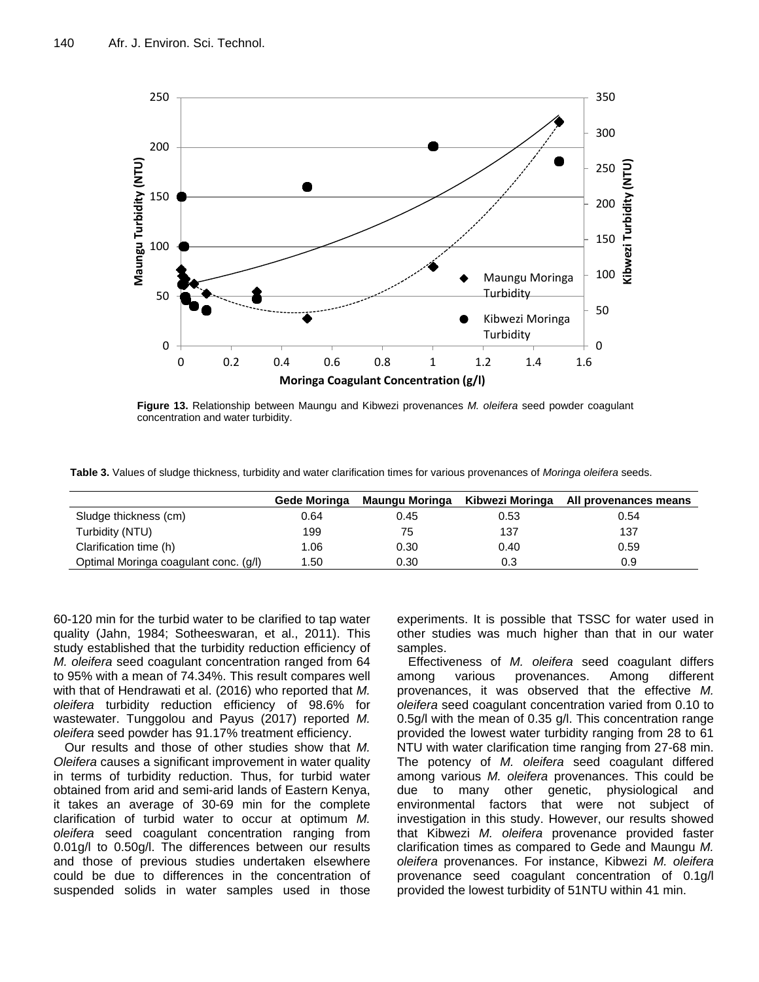

**Figure 13.** Relationship between Maungu and Kibwezi provenances *M. oleifera* seed powder coagulant concentration and water turbidity.

**Table 3.** Values of sludge thickness, turbidity and water clarification times for various provenances of *Moringa oleifera* seeds.

|                                       | Gede Moringa | Maungu Moringa | Kibwezi Moringa | All provenances means |
|---------------------------------------|--------------|----------------|-----------------|-----------------------|
| Sludge thickness (cm)                 | 0.64         | 0.45           | 0.53            | 0.54                  |
| Turbidity (NTU)                       | 199          | 75             | 137             | 137                   |
| Clarification time (h)                | 1.06         | 0.30           | 0.40            | 0.59                  |
| Optimal Moringa coagulant conc. (g/l) | . .50        | 0.30           | 0.3             | 0.9                   |

60-120 min for the turbid water to be clarified to tap water quality (Jahn, 1984; Sotheeswaran, et al., 2011). This study established that the turbidity reduction efficiency of *M. oleifera* seed coagulant concentration ranged from 64 to 95% with a mean of 74.34%. This result compares well with that of [Hendrawati](https://www.researchgate.net/profile/Hendrawati_Hendrawati) et al. (2016) who reported that *M. oleifera* turbidity reduction efficiency of 98.6% for wastewater. Tunggolou and Payus (2017) reported *M. oleifera* seed powder has 91.17% treatment efficiency.

Our results and those of other studies show that *M. Oleifera* causes a significant improvement in water quality in terms of turbidity reduction. Thus, for turbid water obtained from arid and semi-arid lands of Eastern Kenya, it takes an average of 30-69 min for the complete clarification of turbid water to occur at optimum *M. oleifera* seed coagulant concentration ranging from 0.01g/l to 0.50g/l. The differences between our results and those of previous studies undertaken elsewhere could be due to differences in the concentration of suspended solids in water samples used in those

experiments. It is possible that TSSC for water used in other studies was much higher than that in our water samples.

Effectiveness of *M. oleifera* seed coagulant differs among various provenances. Among different provenances, it was observed that the effective *M. oleifera* seed coagulant concentration varied from 0.10 to 0.5g/l with the mean of 0.35 g/l. This concentration range provided the lowest water turbidity ranging from 28 to 61 NTU with water clarification time ranging from 27-68 min. The potency of *M. oleifera* seed coagulant differed among various *M. oleifera* provenances. This could be due to many other genetic, physiological and environmental factors that were not subject of investigation in this study. However, our results showed that Kibwezi *M. oleifera* provenance provided faster clarification times as compared to Gede and Maungu *M. oleifera* provenances. For instance, Kibwezi *M. oleifera*  provenance seed coagulant concentration of 0.1g/l provided the lowest turbidity of 51NTU within 41 min.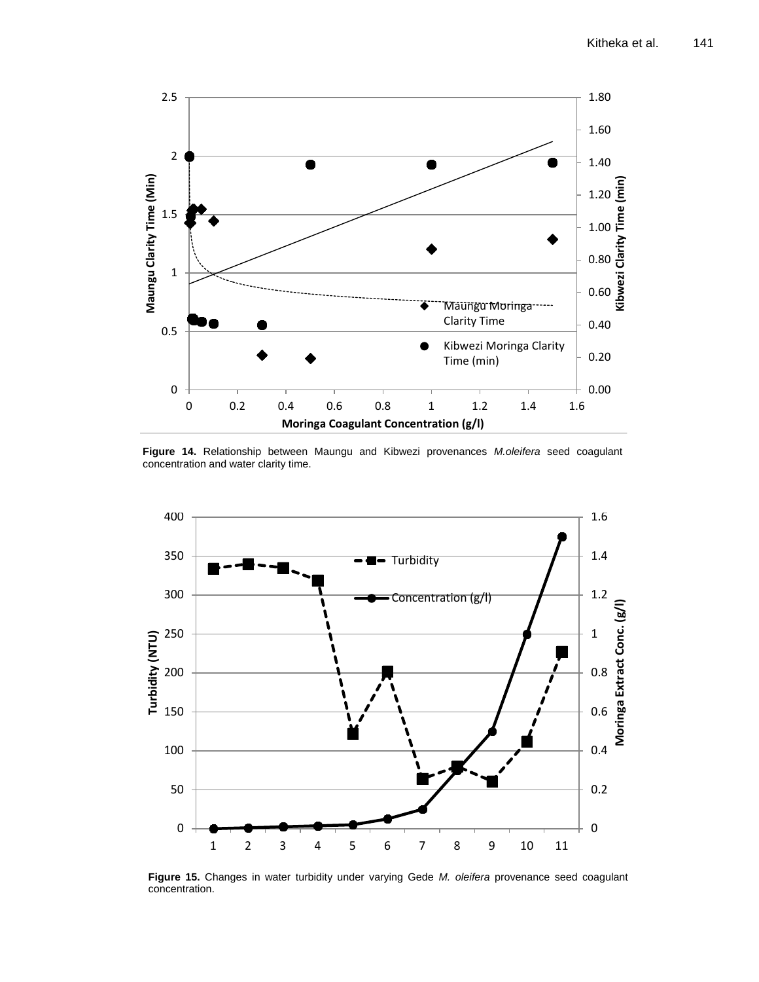

**Figure 14.** Relationship between Maungu and Kibwezi provenances *M.oleifera* seed coagulant concentration and water clarity time.



**Figure 15.** Changes in water turbidity under varying Gede *M. oleifera* provenance seed coagulant concentration.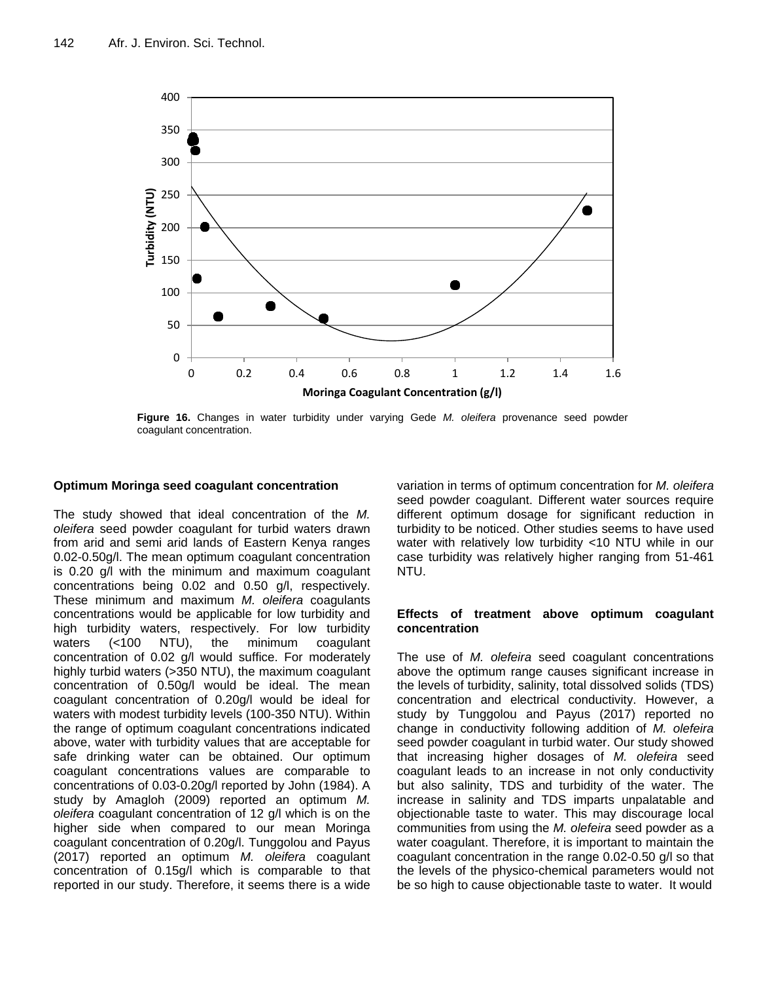

**Figure 16.** Changes in water turbidity under varying Gede *M. oleifera* provenance seed powder coagulant concentration.

#### **Optimum Moringa seed coagulant concentration**

The study showed that ideal concentration of the *M. oleifera* seed powder coagulant for turbid waters drawn from arid and semi arid lands of Eastern Kenya ranges 0.02-0.50g/l. The mean optimum coagulant concentration is 0.20 g/l with the minimum and maximum coagulant concentrations being 0.02 and 0.50 g/l, respectively. These minimum and maximum *M. oleifera* coagulants concentrations would be applicable for low turbidity and high turbidity waters, respectively. For low turbidity waters (<100 NTU), the minimum coagulant concentration of 0.02 g/l would suffice. For moderately highly turbid waters (>350 NTU), the maximum coagulant concentration of 0.50g/l would be ideal. The mean coagulant concentration of 0.20g/l would be ideal for waters with modest turbidity levels (100-350 NTU). Within the range of optimum coagulant concentrations indicated above, water with turbidity values that are acceptable for safe drinking water can be obtained. Our optimum coagulant concentrations values are comparable to concentrations of 0.03-0.20g/l reported by John (1984). A study by Amagloh (2009) reported an optimum *M. oleifera* coagulant concentration of 12 g/l which is on the higher side when compared to our mean Moringa coagulant concentration of 0.20g/l. Tunggolou and Payus (2017) reported an optimum *M. oleifera* coagulant concentration of 0.15g/l which is comparable to that reported in our study. Therefore, it seems there is a wide

variation in terms of optimum concentration for *M. oleifera* seed powder coagulant. Different water sources require different optimum dosage for significant reduction in turbidity to be noticed. Other studies seems to have used water with relatively low turbidity <10 NTU while in our case turbidity was relatively higher ranging from 51-461 NTU.

#### **Effects of treatment above optimum coagulant concentration**

The use of *M. olefeira* seed coagulant concentrations above the optimum range causes significant increase in the levels of turbidity, salinity, total dissolved solids (TDS) concentration and electrical conductivity. However, a study by Tunggolou and Payus (2017) reported no change in conductivity following addition of *M. olefeira* seed powder coagulant in turbid water. Our study showed that increasing higher dosages of *M. olefeira* seed coagulant leads to an increase in not only conductivity but also salinity, TDS and turbidity of the water. The increase in salinity and TDS imparts unpalatable and objectionable taste to water. This may discourage local communities from using the *M. olefeira* seed powder as a water coagulant. Therefore, it is important to maintain the coagulant concentration in the range 0.02-0.50 g/l so that the levels of the physico-chemical parameters would not be so high to cause objectionable taste to water. It would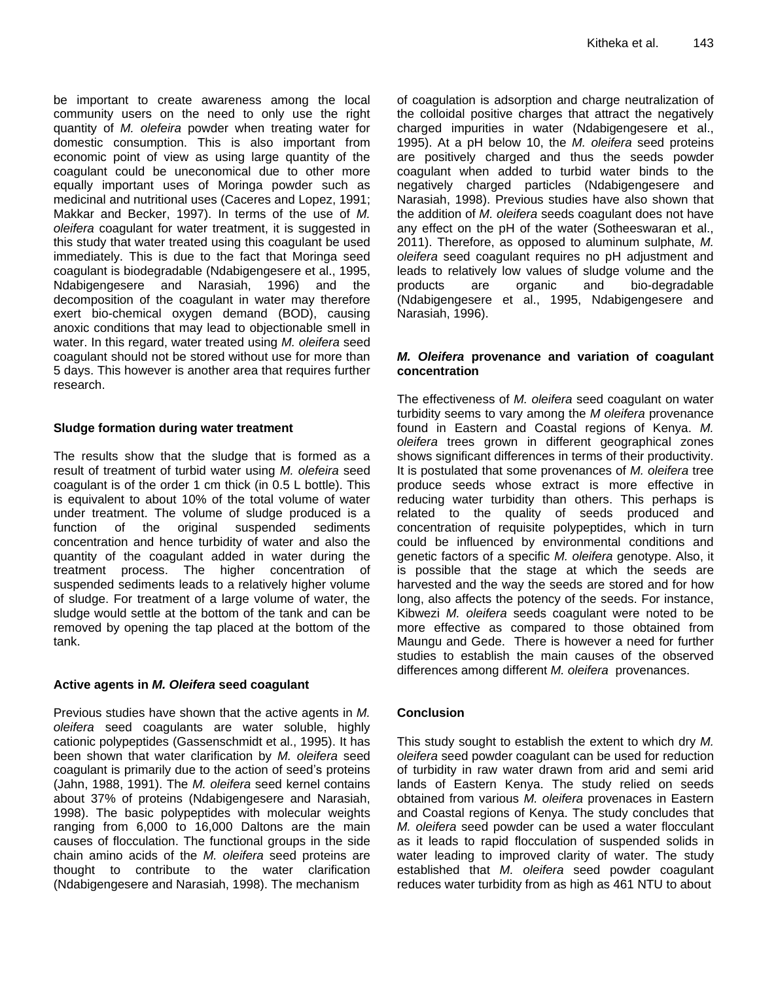be important to create awareness among the local community users on the need to only use the right quantity of *M. olefeira* powder when treating water for domestic consumption. This is also important from economic point of view as using large quantity of the coagulant could be uneconomical due to other more equally important uses of Moringa powder such as medicinal and nutritional uses (Caceres and Lopez, 1991; Makkar and Becker, 1997). In terms of the use of *M. oleifera* coagulant for water treatment, it is suggested in this study that water treated using this coagulant be used immediately. This is due to the fact that Moringa seed coagulant is biodegradable (Ndabigengesere et al., 1995, Ndabigengesere and Narasiah, 1996) and the decomposition of the coagulant in water may therefore exert bio-chemical oxygen demand (BOD), causing anoxic conditions that may lead to objectionable smell in water. In this regard, water treated using *M. oleifera* seed coagulant should not be stored without use for more than 5 days. This however is another area that requires further research.

## **Sludge formation during water treatment**

The results show that the sludge that is formed as a result of treatment of turbid water using *M. olefeira* seed coagulant is of the order 1 cm thick (in 0.5 L bottle). This is equivalent to about 10% of the total volume of water under treatment. The volume of sludge produced is a function of the original suspended sediments concentration and hence turbidity of water and also the quantity of the coagulant added in water during the treatment process. The higher concentration of suspended sediments leads to a relatively higher volume of sludge. For treatment of a large volume of water, the sludge would settle at the bottom of the tank and can be removed by opening the tap placed at the bottom of the tank.

# **Active agents in** *M. Oleifera* **seed coagulant**

Previous studies have shown that the active agents in *M. oleifera* seed coagulants are water soluble, highly cationic polypeptides (Gassenschmidt et al., 1995). It has been shown that water clarification by *M. oleifera* seed coagulant is primarily due to the action of seed's proteins (Jahn, 1988, 1991). The *M. oleifera* seed kernel contains about 37% of proteins (Ndabigengesere and Narasiah, 1998). The basic polypeptides with molecular weights ranging from 6,000 to 16,000 Daltons are the main causes of flocculation. The functional groups in the side chain amino acids of the *M. oleifera* seed proteins are thought to contribute to the water clarification (Ndabigengesere and Narasiah, 1998). The mechanism

of coagulation is adsorption and charge neutralization of the colloidal positive charges that attract the negatively charged impurities in water (Ndabigengesere et al., 1995). At a pH below 10, the *M. oleifera* seed proteins are positively charged and thus the seeds powder coagulant when added to turbid water binds to the negatively charged particles (Ndabigengesere and Narasiah, 1998). Previous studies have also shown that the addition of *M. oleifera* seeds coagulant does not have any effect on the pH of the water (Sotheeswaran et al., 2011). Therefore, as opposed to aluminum sulphate, *M. oleifera* seed coagulant requires no pH adjustment and leads to relatively low values of sludge volume and the products are organic and bio-degradable (Ndabigengesere et al., 1995, Ndabigengesere and Narasiah, 1996).

## *M. Oleifera* **provenance and variation of coagulant concentration**

The effectiveness of *M. oleifera* seed coagulant on water turbidity seems to vary among the *M oleifera* provenance found in Eastern and Coastal regions of Kenya. *M. oleifera* trees grown in different geographical zones shows significant differences in terms of their productivity. It is postulated that some provenances of *M. oleifera* tree produce seeds whose extract is more effective in reducing water turbidity than others. This perhaps is related to the quality of seeds produced and concentration of requisite polypeptides, which in turn could be influenced by environmental conditions and genetic factors of a specific *M. oleifera* genotype. Also, it is possible that the stage at which the seeds are harvested and the way the seeds are stored and for how long, also affects the potency of the seeds. For instance, Kibwezi *M. oleifera* seeds coagulant were noted to be more effective as compared to those obtained from Maungu and Gede. There is however a need for further studies to establish the main causes of the observed differences among different *M. oleifera* provenances.

# **Conclusion**

This study sought to establish the extent to which dry *M. oleifera* seed powder coagulant can be used for reduction of turbidity in raw water drawn from arid and semi arid lands of Eastern Kenya. The study relied on seeds obtained from various *M. oleifera* provenaces in Eastern and Coastal regions of Kenya. The study concludes that *M. oleifera* seed powder can be used a water flocculant as it leads to rapid flocculation of suspended solids in water leading to improved clarity of water. The study established that *M. oleifera* seed powder coagulant reduces water turbidity from as high as 461 NTU to about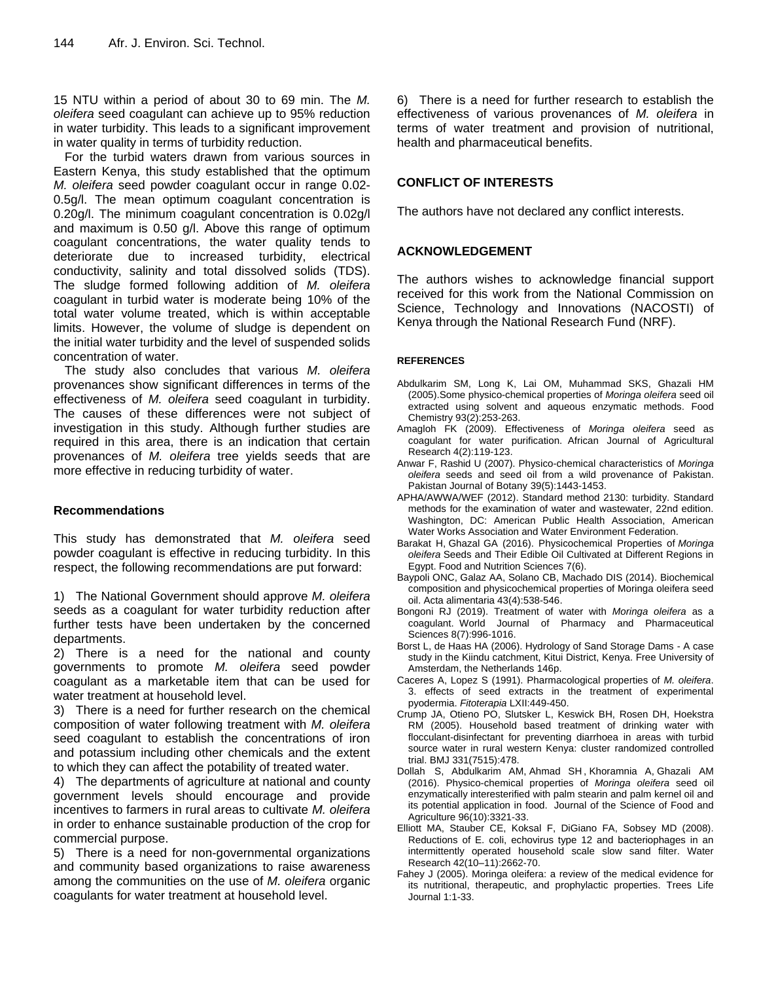15 NTU within a period of about 30 to 69 min. The *M. oleifera* seed coagulant can achieve up to 95% reduction in water turbidity. This leads to a significant improvement in water quality in terms of turbidity reduction.

For the turbid waters drawn from various sources in Eastern Kenya, this study established that the optimum *M. oleifera* seed powder coagulant occur in range 0.02- 0.5g/l. The mean optimum coagulant concentration is 0.20g/l. The minimum coagulant concentration is 0.02g/l and maximum is 0.50 g/l. Above this range of optimum coagulant concentrations, the water quality tends to deteriorate due to increased turbidity, electrical conductivity, salinity and total dissolved solids (TDS). The sludge formed following addition of *M. oleifera* coagulant in turbid water is moderate being 10% of the total water volume treated, which is within acceptable limits. However, the volume of sludge is dependent on the initial water turbidity and the level of suspended solids concentration of water.

The study also concludes that various *M. oleifera* provenances show significant differences in terms of the effectiveness of *M. oleifera* seed coagulant in turbidity. The causes of these differences were not subject of investigation in this study. Although further studies are required in this area, there is an indication that certain provenances of *M. oleifera* tree yields seeds that are more effective in reducing turbidity of water.

## **Recommendations**

This study has demonstrated that *M. oleifera* seed powder coagulant is effective in reducing turbidity. In this respect, the following recommendations are put forward:

1) The National Government should approve *M. oleifera* seeds as a coagulant for water turbidity reduction after further tests have been undertaken by the concerned departments.

2) There is a need for the national and county governments to promote *M. oleifera* seed powder coagulant as a marketable item that can be used for water treatment at household level.

3) There is a need for further research on the chemical composition of water following treatment with *M. oleifera* seed coagulant to establish the concentrations of iron and potassium including other chemicals and the extent to which they can affect the potability of treated water.

4) The departments of agriculture at national and county government levels should encourage and provide incentives to farmers in rural areas to cultivate *M. oleifera* in order to enhance sustainable production of the crop for commercial purpose.

5) There is a need for non-governmental organizations and community based organizations to raise awareness among the communities on the use of *M. oleifera* organic coagulants for water treatment at household level.

6) There is a need for further research to establish the effectiveness of various provenances of *M. oleifera* in terms of water treatment and provision of nutritional, health and pharmaceutical benefits.

# **CONFLICT OF INTERESTS**

The authors have not declared any conflict interests.

## **ACKNOWLEDGEMENT**

The authors wishes to acknowledge financial support received for this work from the National Commission on Science, Technology and Innovations (NACOSTI) of Kenya through the National Research Fund (NRF).

#### **REFERENCES**

- [Abdulkarim](https://www.sciencedirect.com/science/article/abs/pii/S0308814604007423#!) SM, [Long](https://www.sciencedirect.com/science/article/abs/pii/S0308814604007423#!) K, Lai [OM,](https://www.sciencedirect.com/science/article/abs/pii/S0308814604007423#!) Muhammad [SKS,](https://www.sciencedirect.com/science/article/abs/pii/S0308814604007423#!) [Ghazali](https://www.sciencedirect.com/science/article/abs/pii/S0308814604007423#!) HM (2005).Some physico-chemical properties of *Moringa oleifera* seed oil extracted using solvent and aqueous enzymatic methods. [Food](https://www.sciencedirect.com/science/journal/03088146)  [Chemistry](https://www.sciencedirect.com/science/journal/03088146) [93\(2\)](file:///C:/Users/Abraka/AppData/Roaming/Microsoft/Word/93(2):253-263.
- [Amagloh](https://www.researchgate.net/profile/Francis_Amagloh) FK (2009). Effectiveness of *Moringa oleifera* seed as coagulant for water purification. African Journal of [Agricultural](https://www.researchgate.net/journal/1991-637X_African_journal_of_agricultural_research) [Research](https://www.researchgate.net/journal/1991-637X_African_journal_of_agricultural_research) 4(2):119-123.
- Anwar F, Rashid U (2007). Physico-chemical characteristics of *Moringa oleifera* seeds and seed oil from a wild provenance of Pakistan. Pakistan Journal of Botany 39(5):1443-1453.
- APHA/AWWA/WEF (2012). Standard method 2130: turbidity. Standard methods for the examination of water and wastewater, 22nd edition. Washington, DC: American Public Health Association, American Water Works Association and Water Environment Federation.
- [Barakat](https://www.scirp.org/journal/articles.aspx?searchcode=Hassan++Barakat&searchfield=authors&page=1) H, [Ghazal](https://www.scirp.org/journal/articles.aspx?searchcode=Galal+A.++Ghazal&searchfield=authors&page=1) GA (2016). Physicochemical Properties of *Moringa oleifera* Seeds and Their Edible Oil Cultivated at Different Regions in Egypt. [Food and Nutrition Sciences](https://www.scirp.org/journal/journalarticles.aspx?journalid=208) [7\(6\).](https://www.scirp.org/journal/home.aspx?issueid=7958#66917)
- Baypoli ONC, Galaz AA, Solano CB, Machado DIS (2014). Biochemical composition and physicochemical properties of Moringa oleifera seed oil. Acta alimentaria 43(4):538-546.
- Bongoni RJ (2019). Treatment of water with *Moringa oleifera* as a coagulant. [World Journal of Pharmacy and Pharmaceutical](https://www.researchgate.net/journal/2278-4357_WORLD_JOURNAL_OF_PHARMACY_AND_PHARMACEUTICAL_SCIENCES)  [Sciences](https://www.researchgate.net/journal/2278-4357_WORLD_JOURNAL_OF_PHARMACY_AND_PHARMACEUTICAL_SCIENCES) 8(7):996-1016.
- Borst L, de Haas HA (2006). Hydrology of Sand Storage Dams A case study in the Kiindu catchment, Kitui District, Kenya. Free University of Amsterdam, the Netherlands 146p.
- Caceres A, Lopez S (1991). Pharmacological properties of *M. oleifera*. 3. effects of seed extracts in the treatment of experimental pyodermia. *Fitoterapia* LXII:449-450.
- Crump JA, Otieno PO, Slutsker L, Keswick BH, Rosen DH, Hoekstra RM (2005). Household based treatment of drinking water with flocculant-disinfectant for preventing diarrhoea in areas with turbid source water in rural western Kenya: cluster randomized controlled trial. BMJ 331(7515):478.
- [Dollah](https://pubmed.ncbi.nlm.nih.gov/?term=Dollah+S&cauthor_id=26514240) S, [Abdulkarim](https://pubmed.ncbi.nlm.nih.gov/?term=Abdulkarim+SM&cauthor_id=26514240) AM, [Ahmad](https://pubmed.ncbi.nlm.nih.gov/?term=Ahmad+SH&cauthor_id=26514240) SH , [Khoramnia](https://pubmed.ncbi.nlm.nih.gov/?term=Khoramnia+A&cauthor_id=26514240) A, [Ghazali](https://pubmed.ncbi.nlm.nih.gov/?term=Mohd+Ghazali+H&cauthor_id=26514240) AM (2016). Physico-chemical properties of *Moringa oleifera* seed oil enzymatically interesterified with palm stearin and palm kernel oil and its potential application in food. Journal of the Science of Food and Agriculture 96(10):3321-33.
- Elliott MA, Stauber CE, Koksal F, DiGiano FA, Sobsey MD (2008). Reductions of E. coli, echovirus type 12 and bacteriophages in an intermittently operated household scale slow sand filter. Water Research 42(10–11):2662-70.
- Fahey J (2005). Moringa oleifera: a review of the medical evidence for its nutritional, therapeutic, and prophylactic properties. Trees Life Journal 1:1-33.